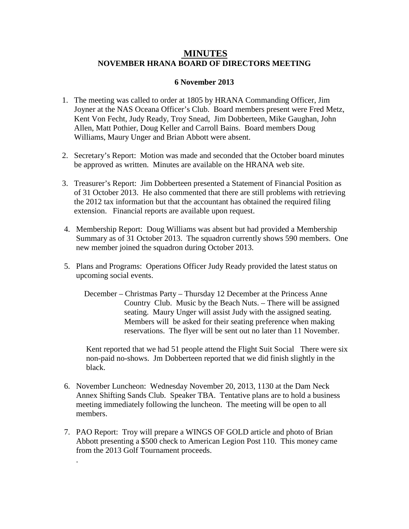## **MINUTES NOVEMBER HRANA BOARD OF DIRECTORS MEETING**

## **6 November 2013**

- 1. The meeting was called to order at 1805 by HRANA Commanding Officer, Jim Joyner at the NAS Oceana Officer's Club. Board members present were Fred Metz, Kent Von Fecht, Judy Ready, Troy Snead, Jim Dobberteen, Mike Gaughan, John Allen, Matt Pothier, Doug Keller and Carroll Bains. Board members Doug Williams, Maury Unger and Brian Abbott were absent.
- 2. Secretary's Report: Motion was made and seconded that the October board minutes be approved as written. Minutes are available on the HRANA web site.
- 3. Treasurer's Report: Jim Dobberteen presented a Statement of Financial Position as of 31 October 2013. He also commented that there are still problems with retrieving the 2012 tax information but that the accountant has obtained the required filing extension. Financial reports are available upon request.
- 4. Membership Report: Doug Williams was absent but had provided a Membership Summary as of 31 October 2013. The squadron currently shows 590 members. One new member joined the squadron during October 2013.
- 5. Plans and Programs: Operations Officer Judy Ready provided the latest status on upcoming social events.
	- December Christmas Party Thursday 12 December at the Princess Anne Country Club. Music by the Beach Nuts. – There will be assigned seating. Maury Unger will assist Judy with the assigned seating. Members will be asked for their seating preference when making reservations. The flyer will be sent out no later than 11 November.

Kent reported that we had 51 people attend the Flight Suit Social There were six non-paid no-shows. Jm Dobberteen reported that we did finish slightly in the black.

- 6. November Luncheon: Wednesday November 20, 2013, 1130 at the Dam Neck Annex Shifting Sands Club. Speaker TBA. Tentative plans are to hold a business meeting immediately following the luncheon. The meeting will be open to all members.
- 7. PAO Report: Troy will prepare a WINGS OF GOLD article and photo of Brian Abbott presenting a \$500 check to American Legion Post 110. This money came from the 2013 Golf Tournament proceeds.

.